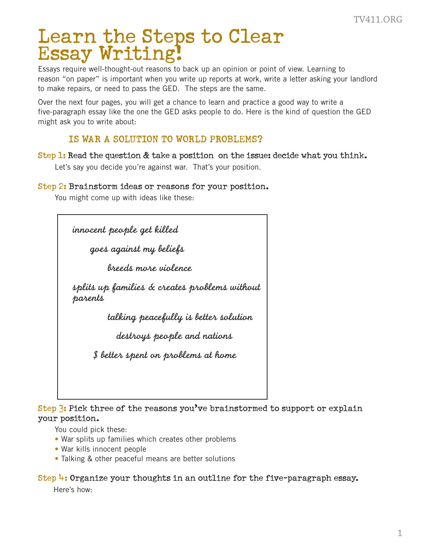## Learn the Steps to Clear Essay Writing!

Essays require well-thought-out reasons to back up an opinion or point of view. Learning to reason "on paper" is important when you write up reports at work, write a letter asking your landlord to make repairs, or need to pass the GED. The steps are the same. TV411.ORG<br>andlord<br>GED<br>nk.<br>1

Over the next four pages, you will get a chance to learn and practice a good way to write a five-paragraph essay like the one the GED asks people to do. Here is the kind of question the GED might ask you to write about:

## IS WAR A SOLUTION TO WORLD PROBLEMS?

Step 1: Read the question & take a position on the issue: decide what you think. Let's say you decide you're against war. That's your position.

## Step 2: Brainstorm ideas or reasons for your position.

You might come up with ideas like these:

| innocent people get killed                               |
|----------------------------------------------------------|
| goes against my beliefs                                  |
| breeds more violence                                     |
| splits up families & creates problems without<br>parents |
| talking peacefully is better solution                    |
| destroys people and nations                              |
| \$ better spent on problems at home                      |
|                                                          |

Step 3: Pick three of the reasons you've brainstormed to support or explain your position.

You could pick these:

- War splits up families which creates other problems
- War kills innocent people
- Talking & other peaceful means are better solutions

## Step 4: Organize your thoughts in an outline for the five-paragraph essay.

Here's how: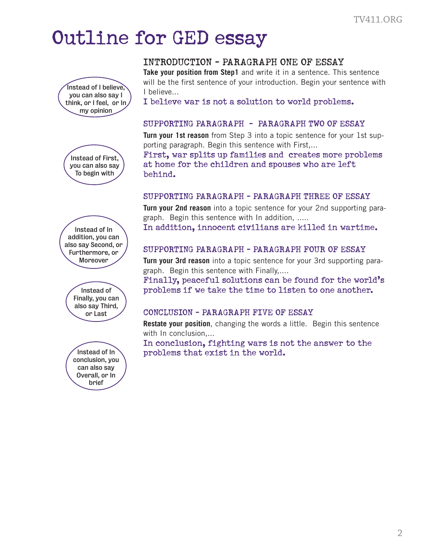# Outline for GED essay













## INTRODUCTION - PARAGRAPH ONE OF ESSAY

**Take your position from Step1** and write it in a sentence. This sentence will be the first sentence of your introduction. Begin your sentence with I believe... TV411.ORG<br>
entence<br>
ence with<br> **AY**<br>
1st sup-<br>
oblems<br>
5.<br>
SSAY<br>
ting para-<br>
time.<br>
SAY<br>
ing para-<br>
world's<br>
ther.<br>
entence<br>
b the

I believe war is not a solution to world problems.

#### SUPPORTING PARAGRAPH - PARAGRAPH TWO OF ESSAY

**Turn your 1st reason** from Step 3 into a topic sentence for your 1st supporting paragraph. Begin this sentence with First,...

First, war splits up families and creates more problems at home for the children and spouses who are left behind.

#### SUPPORTING PARAGRAPH - PARAGRAPH THREE OF ESSAY

**Turn your 2nd reason** into a topic sentence for your 2nd supporting paragraph. Begin this sentence with In addition, .....

In addition, innocent civilians are killed in wartime.

## SUPPORTING PARAGRAPH - PARAGRAPH FOUR OF ESSAY

**Turn your 3rd reason** into a topic sentence for your 3rd supporting paragraph. Begin this sentence with Finally,....

Finally, peaceful solutions can be found for the world's problems if we take the time to listen to one another.

## CONCLUSION - PARAGRAPH FIVE OF ESSAY

**Restate your position**, changing the words a little. Begin this sentence with In conclusion,...

In conclusion, fighting wars is not the answer to the problems that exist in the world.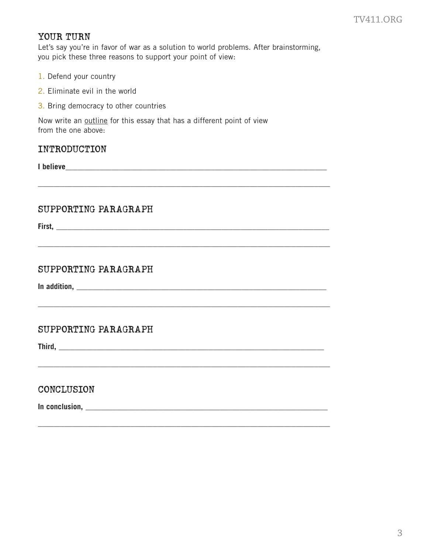## YOUR TURN

Let's say you're in favor of war as a solution to world problems. After brainstorming, you pick these three reasons to support your point of view:

\_\_\_\_\_\_\_\_\_\_\_\_\_\_\_\_\_\_\_\_\_\_\_\_\_\_\_\_\_\_\_\_\_\_\_\_\_\_\_\_\_\_\_\_\_\_\_\_\_\_\_\_\_\_\_\_\_\_\_\_\_\_\_\_\_\_\_\_\_\_\_\_\_\_\_\_

\_\_\_\_\_\_\_\_\_\_\_\_\_\_\_\_\_\_\_\_\_\_\_\_\_\_\_\_\_\_\_\_\_\_\_\_\_\_\_\_\_\_\_\_\_\_\_\_\_\_\_\_\_\_\_\_\_\_\_\_\_\_\_\_\_\_\_\_\_\_\_\_\_\_\_\_

\_\_\_\_\_\_\_\_\_\_\_\_\_\_\_\_\_\_\_\_\_\_\_\_\_\_\_\_\_\_\_\_\_\_\_\_\_\_\_\_\_\_\_\_\_\_\_\_\_\_\_\_\_\_\_\_\_\_\_\_\_\_\_\_\_\_\_\_\_\_\_\_\_\_\_\_

\_\_\_\_\_\_\_\_\_\_\_\_\_\_\_\_\_\_\_\_\_\_\_\_\_\_\_\_\_\_\_\_\_\_\_\_\_\_\_\_\_\_\_\_\_\_\_\_\_\_\_\_\_\_\_\_\_\_\_\_\_\_\_\_\_\_\_\_\_\_\_\_\_\_\_\_

\_\_\_\_\_\_\_\_\_\_\_\_\_\_\_\_\_\_\_\_\_\_\_\_\_\_\_\_\_\_\_\_\_\_\_\_\_\_\_\_\_\_\_\_\_\_\_\_\_\_\_\_\_\_\_\_\_\_\_\_\_\_\_\_\_\_\_\_\_\_\_\_\_\_\_\_

- 1. Defend your country
- 2. Eliminate evil in the world
- 3. Bring democracy to other countries

Now write an outline for this essay that has a different point of view from the one above:

## INTRODUCTION

**I believe\_**\_\_\_\_\_\_\_\_\_\_\_\_\_\_\_\_\_\_\_\_\_\_\_\_\_\_\_\_\_\_\_\_\_\_\_\_\_\_\_\_\_\_\_\_\_\_\_\_\_\_\_\_\_\_\_\_\_\_\_\_\_\_\_\_\_\_\_

## SUPPORTING PARAGRAPH

**First,** \_\_\_\_\_\_\_\_\_\_\_\_\_\_\_\_\_\_\_\_\_\_\_\_\_\_\_\_\_\_\_\_\_\_\_\_\_\_\_\_\_\_\_\_\_\_\_\_\_\_\_\_\_\_\_\_\_\_\_\_\_\_\_\_\_\_\_\_\_\_\_

## SUPPORTING PARAGRAPH

**In addition,** \_\_\_\_\_\_\_\_\_\_\_\_\_\_\_\_\_\_\_\_\_\_\_\_\_\_\_\_\_\_\_\_\_\_\_\_\_\_\_\_\_\_\_\_\_\_\_\_\_\_\_\_\_\_\_\_\_\_\_\_\_\_\_\_\_

## SUPPORTING PARAGRAPH

**Third,** \_\_\_\_\_\_\_\_\_\_\_\_\_\_\_\_\_\_\_\_\_\_\_\_\_\_\_\_\_\_\_\_\_\_\_\_\_\_\_\_\_\_\_\_\_\_\_\_\_\_\_\_\_\_\_\_\_\_\_\_\_\_\_\_\_\_\_\_\_

## CONCLUSION

**In conclusion,** \_\_\_\_\_\_\_\_\_\_\_\_\_\_\_\_\_\_\_\_\_\_\_\_\_\_\_\_\_\_\_\_\_\_\_\_\_\_\_\_\_\_\_\_\_\_\_\_\_\_\_\_\_\_\_\_\_\_\_\_\_\_\_